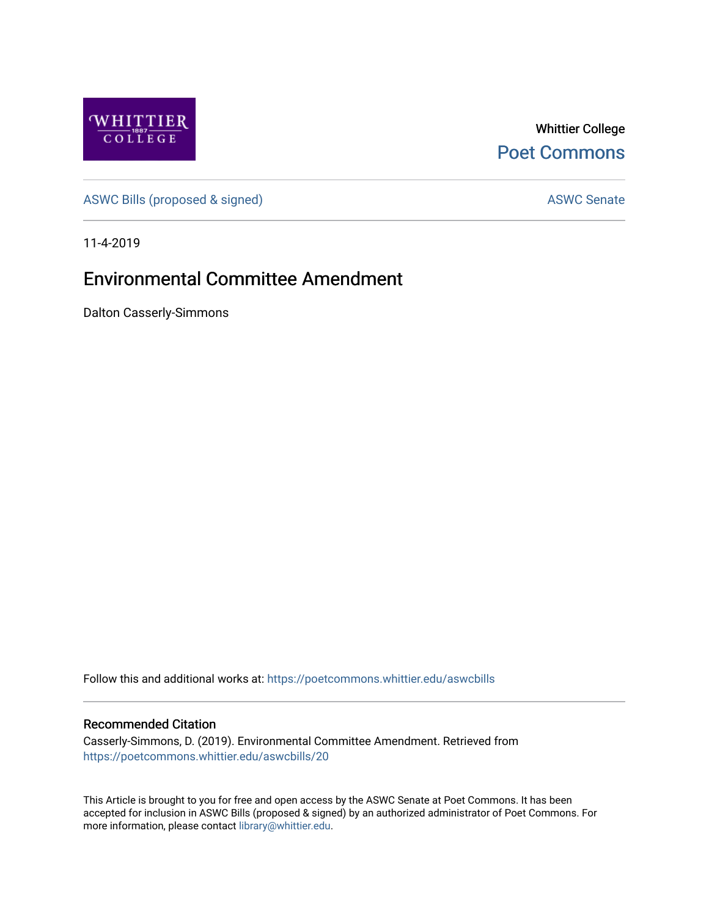

Whittier College [Poet Commons](https://poetcommons.whittier.edu/) 

[ASWC Bills \(proposed & signed\)](https://poetcommons.whittier.edu/aswcbills) ASWC Senate

11-4-2019

## Environmental Committee Amendment

Dalton Casserly-Simmons

Follow this and additional works at: [https://poetcommons.whittier.edu/aswcbills](https://poetcommons.whittier.edu/aswcbills?utm_source=poetcommons.whittier.edu%2Faswcbills%2F20&utm_medium=PDF&utm_campaign=PDFCoverPages) 

## Recommended Citation

Casserly-Simmons, D. (2019). Environmental Committee Amendment. Retrieved from [https://poetcommons.whittier.edu/aswcbills/20](https://poetcommons.whittier.edu/aswcbills/20?utm_source=poetcommons.whittier.edu%2Faswcbills%2F20&utm_medium=PDF&utm_campaign=PDFCoverPages)

This Article is brought to you for free and open access by the ASWC Senate at Poet Commons. It has been accepted for inclusion in ASWC Bills (proposed & signed) by an authorized administrator of Poet Commons. For more information, please contact [library@whittier.edu.](mailto:library@whittier.edu)